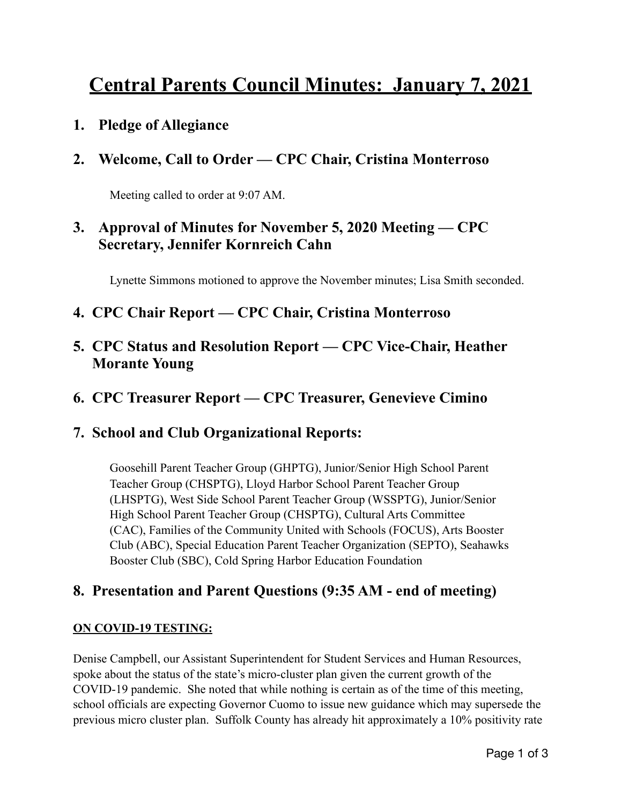# **Central Parents Council Minutes: January 7, 2021**

**1. Pledge of Allegiance** 

## **2. Welcome, Call to Order — CPC Chair, Cristina Monterroso**

Meeting called to order at 9:07 AM.

## **3. Approval of Minutes for November 5, 2020 Meeting — CPC Secretary, Jennifer Kornreich Cahn**

Lynette Simmons motioned to approve the November minutes; Lisa Smith seconded.

- **4. CPC Chair Report CPC Chair, Cristina Monterroso**
- **5. CPC Status and Resolution Report CPC Vice-Chair, Heather Morante Young**
- **6. CPC Treasurer Report CPC Treasurer, Genevieve Cimino**

## **7. School and Club Organizational Reports:**

Goosehill Parent Teacher Group (GHPTG), Junior/Senior High School Parent Teacher Group (CHSPTG), Lloyd Harbor School Parent Teacher Group (LHSPTG), West Side School Parent Teacher Group (WSSPTG), Junior/Senior High School Parent Teacher Group (CHSPTG), Cultural Arts Committee (CAC), Families of the Community United with Schools (FOCUS), Arts Booster Club (ABC), Special Education Parent Teacher Organization (SEPTO), Seahawks Booster Club (SBC), Cold Spring Harbor Education Foundation

## **8. Presentation and Parent Questions (9:35 AM - end of meeting)**

#### **ON COVID-19 TESTING:**

Denise Campbell, our Assistant Superintendent for Student Services and Human Resources, spoke about the status of the state's micro-cluster plan given the current growth of the COVID-19 pandemic. She noted that while nothing is certain as of the time of this meeting, school officials are expecting Governor Cuomo to issue new guidance which may supersede the previous micro cluster plan. Suffolk County has already hit approximately a 10% positivity rate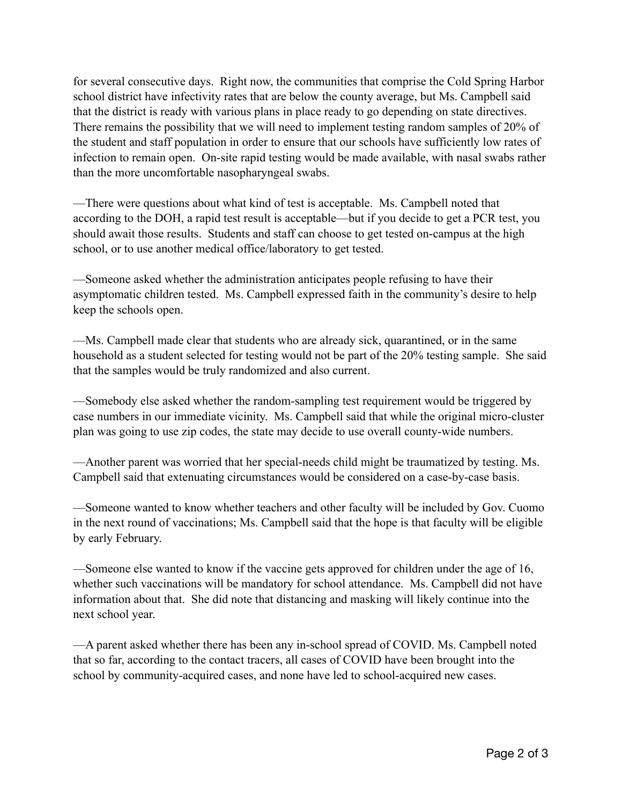for several consecutive days. Right now, the communities that comprise the Cold Spring Harbor school district have infectivity rates that are below the county average, but Ms. Campbell said that the district is ready with various plans in place ready to go depending on state directives. There remains the possibility that we will need to implement testing random samples of 20% of the student and staff population in order to ensure that our schools have sufficiently low rates of infection to remain open. On-site rapid testing would be made available, with nasal swabs rather than the more uncomfortable nasopharyngeal swabs.

—There were questions about what kind of test is acceptable. Ms. Campbell noted that according to the DOH, a rapid test result is acceptable—but if you decide to get a PCR test, you should await those results. Students and staff can choose to get tested on-campus at the high school, or to use another medical office/laboratory to get tested.

—Someone asked whether the administration anticipates people refusing to have their asymptomatic children tested. Ms. Campbell expressed faith in the community's desire to help keep the schools open.

—Ms. Campbell made clear that students who are already sick, quarantined, or in the same household as a student selected for testing would not be part of the 20% testing sample. She said that the samples would be truly randomized and also current.

—Somebody else asked whether the random-sampling test requirement would be triggered by case numbers in our immediate vicinity. Ms. Campbell said that while the original micro-cluster plan was going to use zip codes, the state may decide to use overall county-wide numbers.

—Another parent was worried that her special-needs child might be traumatized by testing. Ms. Campbell said that extenuating circumstances would be considered on a case-by-case basis.

—Someone wanted to know whether teachers and other faculty will be included by Gov. Cuomo in the next round of vaccinations; Ms. Campbell said that the hope is that faculty will be eligible by early February.

—Someone else wanted to know if the vaccine gets approved for children under the age of 16, whether such vaccinations will be mandatory for school attendance. Ms. Campbell did not have information about that. She did note that distancing and masking will likely continue into the next school year.

—A parent asked whether there has been any in-school spread of COVID. Ms. Campbell noted that so far, according to the contact tracers, all cases of COVID have been brought into the school by community-acquired cases, and none have led to school-acquired new cases.